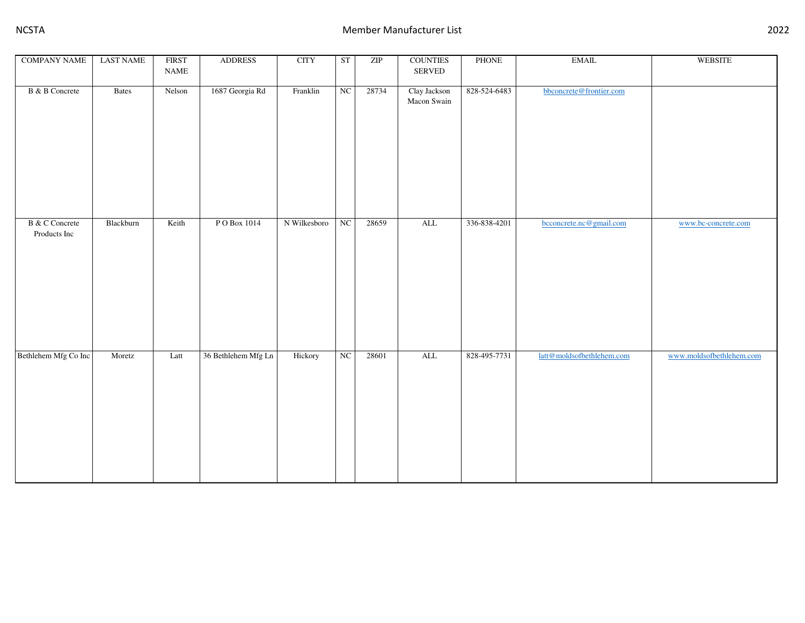| <b>COMPANY NAME</b>                   | <b>LAST NAME</b> | <b>FIRST</b><br>$\ensuremath{\mathsf{NAME}}$ | <b>ADDRESS</b>      | <b>CITY</b>  | ST | $\ensuremath{\mathrm{ZIP}}$ | <b>COUNTIES</b><br>SERVED   | PHONE        | <b>EMAIL</b>              | WEBSITE                  |
|---------------------------------------|------------------|----------------------------------------------|---------------------|--------------|----|-----------------------------|-----------------------------|--------------|---------------------------|--------------------------|
| <b>B</b> & B Concrete                 | <b>Bates</b>     | Nelson                                       | 1687 Georgia Rd     | Franklin     | NC | 28734                       | Clay Jackson<br>Macon Swain | 828-524-6483 | bbconcrete@frontier.com   |                          |
| <b>B</b> & C Concrete<br>Products Inc | Blackburn        | Keith                                        | PO Box 1014         | N Wilkesboro | NC | 28659                       | $\mbox{ALL}$                | 336-838-4201 | bcconcrete.nc@gmail.com   | www.bc-concrete.com      |
| Bethlehem Mfg Co Inc                  | Moretz           | Latt                                         | 36 Bethlehem Mfg Ln | Hickory      | NC | 28601                       | $\mbox{ALL}$                | 828-495-7731 | latt@moldsofbethlehem.com | www.moldsofbethlehem.com |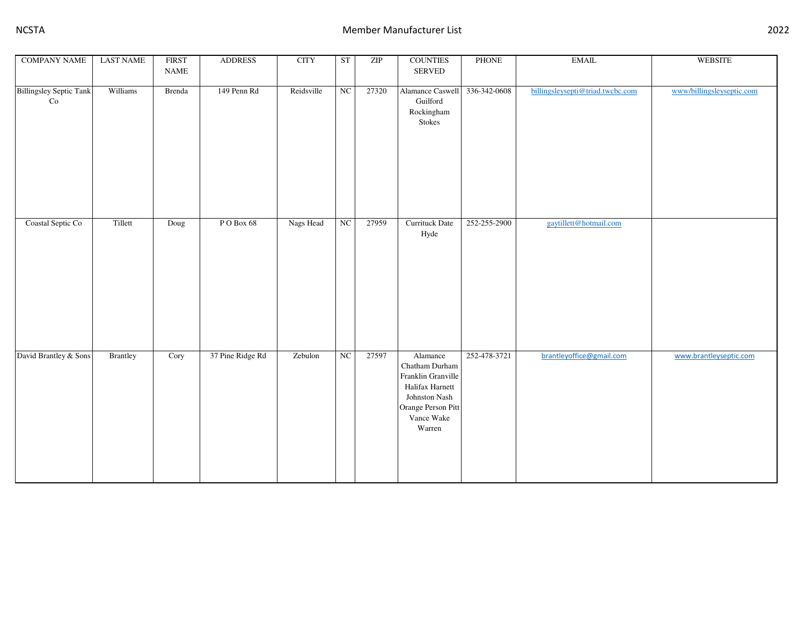| <b>COMPANY NAME</b>                         | <b>LAST NAME</b> | <b>FIRST</b><br><b>NAME</b> | <b>ADDRESS</b>   | <b>CITY</b> | <b>ST</b> | $\ensuremath{\mathrm{ZIP}}$ | <b>COUNTIES</b><br>SERVED                                                                                                          | PHONE        | <b>EMAIL</b>                     | <b>WEBSITE</b>            |
|---------------------------------------------|------------------|-----------------------------|------------------|-------------|-----------|-----------------------------|------------------------------------------------------------------------------------------------------------------------------------|--------------|----------------------------------|---------------------------|
| <b>Billingsley Septic Tank</b><br>$\rm{Co}$ | Williams         | <b>Brenda</b>               | 149 Penn Rd      | Reidsville  | NC        | 27320                       | Alamance Caswell 336-342-0608<br>Guilford<br>Rockingham<br>Stokes                                                                  |              | billingsleysepti@triad.twcbc.com | www/billingsleyseptic.com |
| Coastal Septic Co                           | Tillett          | Doug                        | PO Box 68        | Nags Head   | NC        | 27959                       | <b>Currituck Date</b><br>Hyde                                                                                                      | 252-255-2900 | gaytillett@hotmail.com           |                           |
| David Brantley & Sons                       | Brantley         | Cory                        | 37 Pine Ridge Rd | Zebulon     | $\rm NC$  | 27597                       | Alamance<br>Chatham Durham<br>Franklin Granville<br>Halifax Harnett<br>Johnston Nash<br>Orange Person Pitt<br>Vance Wake<br>Warren | 252-478-3721 | brantleyoffice@gmail.com         | www.brantleyseptic.com    |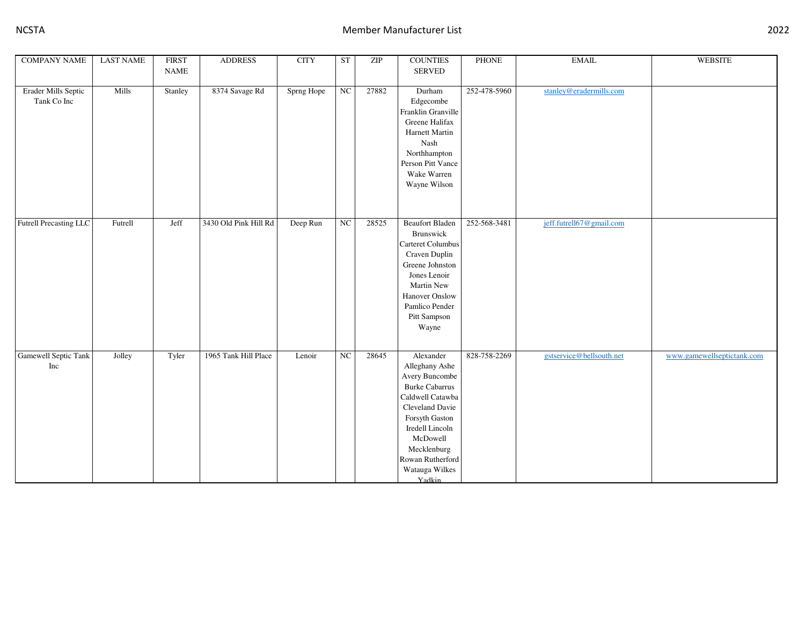| <b>COMPANY NAME</b>                | <b>LAST NAME</b> | <b>FIRST</b><br><b>NAME</b> | <b>ADDRESS</b>        | <b>CITY</b> | <b>ST</b> | $\ensuremath{\mathrm{ZIP}}$ | <b>COUNTIES</b><br><b>SERVED</b>                                                                                                                                                                                              | <b>PHONE</b> | <b>EMAIL</b>             | <b>WEBSITE</b>             |
|------------------------------------|------------------|-----------------------------|-----------------------|-------------|-----------|-----------------------------|-------------------------------------------------------------------------------------------------------------------------------------------------------------------------------------------------------------------------------|--------------|--------------------------|----------------------------|
| Erader Mills Septic<br>Tank Co Inc | Mills            | Stanley                     | 8374 Savage Rd        | Sprng Hope  | NC        | 27882                       | Durham<br>Edgecombe<br>Franklin Granville<br>Greene Halifax<br>Harnett Martin<br>Nash<br>Northhampton<br>Person Pitt Vance<br>Wake Warren<br>Wayne Wilson                                                                     | 252-478-5960 | stanley@eradermills.com  |                            |
| <b>Futrell Precasting LLC</b>      | Futrell          | Jeff                        | 3430 Old Pink Hill Rd | Deep Run    | <b>NC</b> | 28525                       | <b>Beaufort Bladen</b><br>Brunswick<br>Carteret Columbus<br>Craven Duplin<br>Greene Johnston<br>Jones Lenoir<br>Martin New<br>Hanover Onslow<br>Pamlico Pender<br>Pitt Sampson<br>Wayne                                       | 252-568-3481 | jeff.futrell67@gmail.com |                            |
| Gamewell Septic Tank<br>Inc        | Jolley           | Tyler                       | 1965 Tank Hill Place  | Lenoir      | NC        | 28645                       | Alexander<br>Alleghany Ashe<br>Avery Buncombe<br><b>Burke Cabarrus</b><br>Caldwell Catawba<br>Cleveland Davie<br>Forsyth Gaston<br>Iredell Lincoln<br>McDowell<br>Mecklenburg<br>Rowan Rutherford<br>Watauga Wilkes<br>Yadkin | 828-758-2269 | gstservice@bellsouth.net | www.gamewellseptictank.com |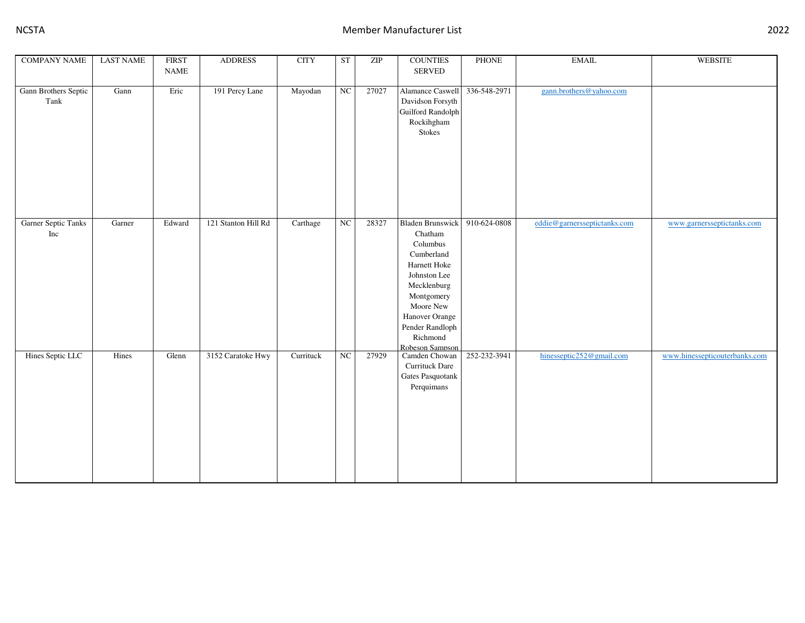| <b>COMPANY NAME</b>          | <b>LAST NAME</b> | <b>FIRST</b><br><b>NAME</b> | <b>ADDRESS</b>      | <b>CITY</b> | $\operatorname{ST}$ | $\ensuremath{\mathrm{ZIP}}$ | <b>COUNTIES</b><br><b>SERVED</b>                                                                                                                                                                           | PHONE        | <b>EMAIL</b>                 | <b>WEBSITE</b>                |
|------------------------------|------------------|-----------------------------|---------------------|-------------|---------------------|-----------------------------|------------------------------------------------------------------------------------------------------------------------------------------------------------------------------------------------------------|--------------|------------------------------|-------------------------------|
| Gann Brothers Septic<br>Tank | Gann             | Eric                        | 191 Percy Lane      | Mayodan     | NC                  | 27027                       | Alamance Caswell 336-548-2971<br>Davidson Forsyth<br>Guilford Randolph<br>Rockihgham<br>Stokes                                                                                                             |              | gann.brothers@yahoo.com      |                               |
| Garner Septic Tanks<br>Inc   | Garner           | Edward                      | 121 Stanton Hill Rd | Carthage    | <b>NC</b>           | 28327                       | <b>Bladen Brunswick</b><br>Chatham<br>Columbus<br>Cumberland<br>Harnett Hoke<br>Johnston Lee<br>Mecklenburg<br>Montgomery<br>Moore New<br>Hanover Orange<br>Pender Randloph<br>Richmond<br>Robeson Sampson | 910-624-0808 | eddie@garnersseptictanks.com | www.garnersseptictanks.com    |
| Hines Septic LLC             | Hines            | Glenn                       | 3152 Caratoke Hwy   | Currituck   | NC                  | 27929                       | Camden Chowan<br>Currituck Dare<br>Gates Pasquotank<br>Perquimans                                                                                                                                          | 252-232-3941 | hinesseptic252@gmail.com     | www.hinessepticouterbanks.com |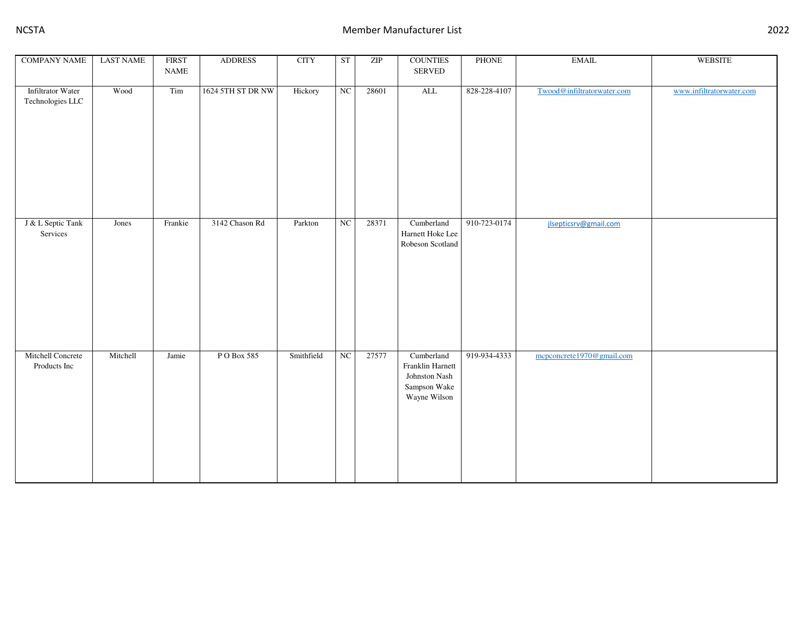| <b>COMPANY NAME</b>                   | <b>LAST NAME</b> | <b>FIRST</b><br><b>NAME</b> | <b>ADDRESS</b>    | <b>CITY</b> | ST | ZIP   | <b>COUNTIES</b><br>SERVED                                                       | PHONE        | <b>EMAIL</b>               | WEBSITE                  |
|---------------------------------------|------------------|-----------------------------|-------------------|-------------|----|-------|---------------------------------------------------------------------------------|--------------|----------------------------|--------------------------|
| Infiltrator Water<br>Technologies LLC | Wood             | Tim                         | 1624 5TH ST DR NW | Hickory     | NC | 28601 | $\overline{\text{ALL}}$                                                         | 828-228-4107 | Twood@infiltratorwater.com | www.infiltratorwater.com |
| J & L Septic Tank<br>Services         | <b>Jones</b>     | Frankie                     | 3142 Chason Rd    | Parkton     | NC | 28371 | Cumberland<br>Harnett Hoke Lee<br>Robeson Scotland                              | 910-723-0174 | jlsepticsrv@gmail.com      |                          |
| Mitchell Concrete<br>Products Inc     | Mitchell         | Jamie                       | PO Box 585        | Smithfield  | NC | 27577 | Cumberland<br>Franklin Harnett<br>Johnston Nash<br>Sampson Wake<br>Wayne Wilson | 919-934-4333 | mcpconcrete1970@gmail.com  |                          |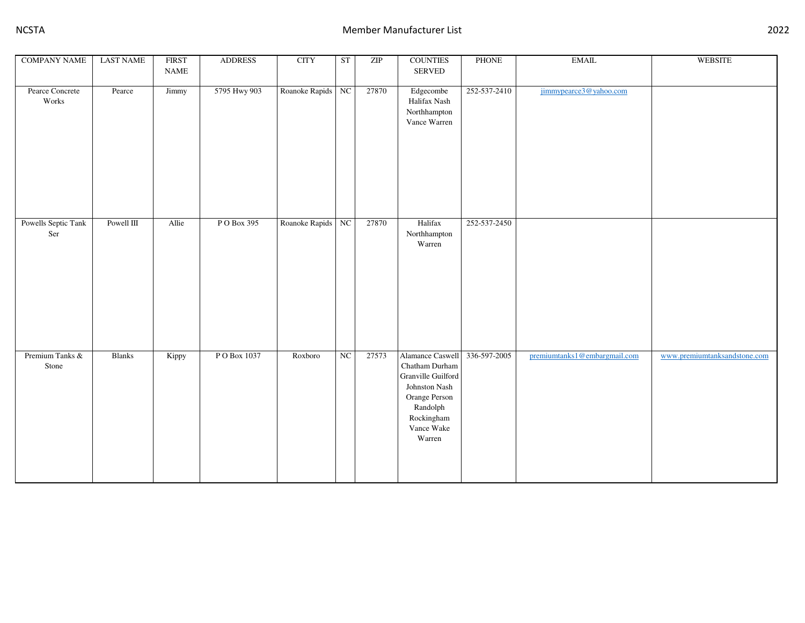| <b>COMPANY NAME</b>               | <b>LAST NAME</b> | <b>FIRST</b><br>$\ensuremath{\mathsf{NAME}}$ | <b>ADDRESS</b> | <b>CITY</b>         | ST | $\overline{\text{ZIP}}$ | <b>COUNTIES</b><br><b>SERVED</b>                                                                                                                          | PHONE        | $\operatorname{EMAIL}$       | WEBSITE                      |
|-----------------------------------|------------------|----------------------------------------------|----------------|---------------------|----|-------------------------|-----------------------------------------------------------------------------------------------------------------------------------------------------------|--------------|------------------------------|------------------------------|
| Pearce Concrete<br>Works          | Pearce           | Jimmy                                        | 5795 Hwy 903   | Roanoke Rapids   NC |    | 27870                   | Edgecombe<br>Halifax Nash<br>Northhampton<br>Vance Warren                                                                                                 | 252-537-2410 | jimmypearce3@yahoo.com       |                              |
| <b>Powells Septic Tank</b><br>Ser | Powell III       | Allie                                        | PO Box 395     | Roanoke Rapids NC   |    | 27870                   | Halifax<br>Northhampton<br>Warren                                                                                                                         | 252-537-2450 |                              |                              |
| Premium Tanks &<br>Stone          | Blanks           | Kippy                                        | PO Box 1037    | Roxboro             | NC | 27573                   | Alamance Caswell 336-597-2005<br>Chatham Durham<br>Granville Guilford<br>Johnston Nash<br>Orange Person<br>Randolph<br>Rockingham<br>Vance Wake<br>Warren |              | premiumtanks1@embargmail.com | www.premiumtanksandstone.com |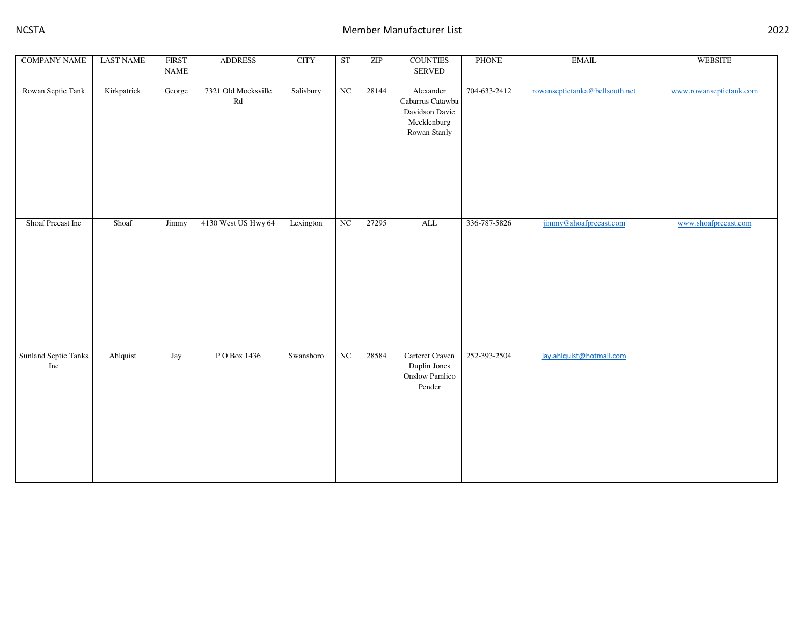| <b>COMPANY NAME</b>                | <b>LAST NAME</b> | <b>FIRST</b><br><b>NAME</b> | <b>ADDRESS</b>                                | <b>CITY</b> | ST          | $\ensuremath{\mathrm{ZIP}}$ | <b>COUNTIES</b><br>SERVED                                                      | PHONE        | <b>EMAIL</b>                   | WEBSITE                 |
|------------------------------------|------------------|-----------------------------|-----------------------------------------------|-------------|-------------|-----------------------------|--------------------------------------------------------------------------------|--------------|--------------------------------|-------------------------|
| Rowan Septic Tank                  | Kirkpatrick      | George                      | 7321 Old Mocksville<br>$\mathbf{R}\mathbf{d}$ | Salisbury   | NC          | 28144                       | Alexander<br>Cabarrus Catawba<br>Davidson Davie<br>Mecklenburg<br>Rowan Stanly | 704-633-2412 | rowanseptictanka@bellsouth.net | www.rowanseptictank.com |
| Shoaf Precast Inc                  | Shoaf            | Jimmy                       | 4130 West US Hwy 64                           | Lexington   | NC          | 27295                       | <b>ALL</b>                                                                     | 336-787-5826 | jimmy@shoafprecast.com         | www.shoafprecast.com    |
| <b>Sunland Septic Tanks</b><br>Inc | Ahlquist         | Jay                         | P O Box 1436                                  | Swansboro   | $_{\rm NC}$ | 28584                       | Carteret Craven<br>Duplin Jones<br><b>Onslow Pamlico</b><br>Pender             | 252-393-2504 | jay.ahlquist@hotmail.com       |                         |